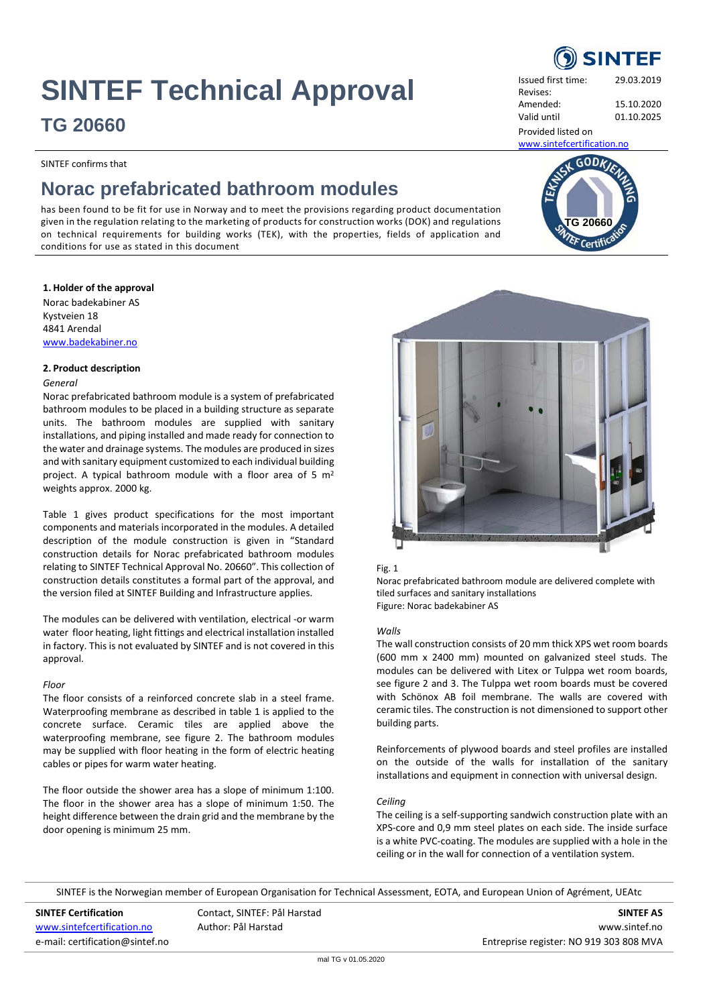## **SINTEF Technical Approval**

### **TG 20660**

SINTEF confirms that

## **Norac prefabricated bathroom modules**

has been found to be fit for use in Norway and to meet the provisions regarding product documentation given in the regulation relating to the marketing of products for construction works (DOK) and regulations on technical requirements for building works (TEK), with the properties, fields of application and conditions for use as stated in this document

#### **1. Holder of the approval**

Norac badekabiner AS Kystveien 18 4841 Arendal [www.badekabiner.no](http://www.badekabiner.no/)

#### **2. Product description**

#### *General*

Norac prefabricated bathroom module is a system of prefabricated bathroom modules to be placed in a building structure as separate units. The bathroom modules are supplied with sanitary installations, and piping installed and made ready for connection to the water and drainage systems. The modules are produced in sizes and with sanitary equipment customized to each individual building project. A typical bathroom module with a floor area of 5 m<sup>2</sup> weights approx. 2000 kg.

Table 1 gives product specifications for the most important components and materials incorporated in the modules. A detailed description of the module construction is given in "Standard construction details for Norac prefabricated bathroom modules relating to SINTEF Technical Approval No. 20660". This collection of construction details constitutes a formal part of the approval, and the version filed at SINTEF Building and Infrastructure applies.

The modules can be delivered with ventilation, electrical -or warm water floor heating, light fittings and electrical installation installed in factory. This is not evaluated by SINTEF and is not covered in this approval.

#### *Floor*

The floor consists of a reinforced concrete slab in a steel frame. Waterproofing membrane as described in table 1 is applied to the concrete surface. Ceramic tiles are applied above the waterproofing membrane, see figure 2. The bathroom modules may be supplied with floor heating in the form of electric heating cables or pipes for warm water heating.

The floor outside the shower area has a slope of minimum 1:100. The floor in the shower area has a slope of minimum 1:50. The height difference between the drain grid and the membrane by the door opening is minimum 25 mm.

# SINTEF is the Norwegian member of European Organisation for Technical Assessment, EOTA, and European Union of Agrément, UEAtc

e-mail: certification@sintef.no entreprise register: NO 919 303 808 MVA

**SINTEF Certification** Contact, SINTEF: Pål Harstad **SINTEF AS** [www.sintefcertification.no](http://www.sintefcertification.no/) **Author: Pål Harstad William** Author: Pål Harstad William Author: Pål Harstad William Author: Pål Harstad William Author: Pål Harstad William Author: Pål Harstad William Author: Pål Harstad Willi



#### Fig. 1

Norac prefabricated bathroom module are delivered complete with tiled surfaces and sanitary installations Figure: Norac badekabiner AS

#### *Walls*

The wall construction consists of 20 mm thick XPS wet room boards (600 mm x 2400 mm) mounted on galvanized steel studs. The modules can be delivered with Litex or Tulppa wet room boards, see figure 2 and 3. The Tulppa wet room boards must be covered with Schönox AB foil membrane. The walls are covered with ceramic tiles. The construction is not dimensioned to support other building parts.

Reinforcements of plywood boards and steel profiles are installed on the outside of the walls for installation of the sanitary installations and equipment in connection with universal design.

#### *Ceiling*

The ceiling is a self-supporting sandwich construction plate with an XPS-core and 0,9 mm steel plates on each side. The inside surface is a white PVC-coating. The modules are supplied with a hole in the ceiling or in the wall for connection of a ventilation system.



Amended: 15.10.2020 Valid until 01.10.2025

Provided listed on

Revises:

[www.sintefcertification.no](http://www.sintefcertification.no/)

**TG 20660**

 $GODk$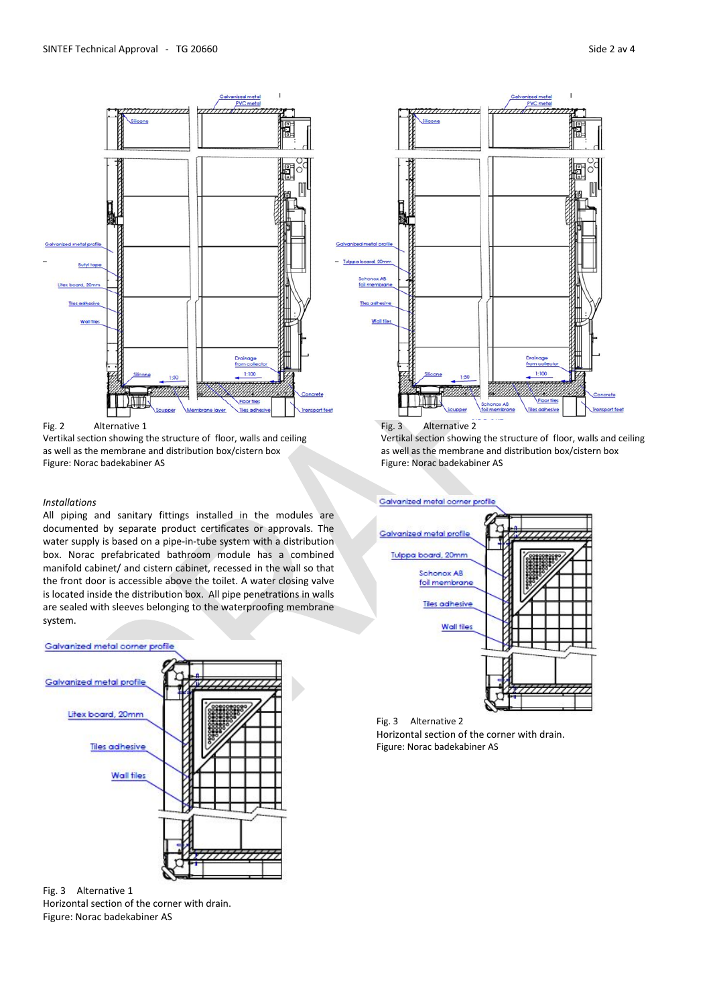

Vertikal section showing the structure of floor, walls and ceiling Vertikal section showing the structure of floor, walls and ceiling as well as the membrane and distribution box/cistern box as well as the membrane and distribution box/cistern box Figure: Norac badekabiner AS Figure: Norac badekabiner AS

#### *Installations*

All piping and sanitary fittings installed in the modules are documented by separate product certificates or approvals. The water supply is based on a pipe-in-tube system with a distribution box. Norac prefabricated bathroom module has a combined manifold cabinet/ and cistern cabinet, recessed in the wall so that the front door is accessible above the toilet. A water closing valve is located inside the distribution box. All pipe penetrations in walls are sealed with sleeves belonging to the waterproofing membrane system.



Fig. 3 Alternative 1

Horizontal section of the corner with drain. Figure: Norac badekabiner AS





Fig. 3 Alternative 2 Horizontal section of the corner with drain. Figure: Norac badekabiner AS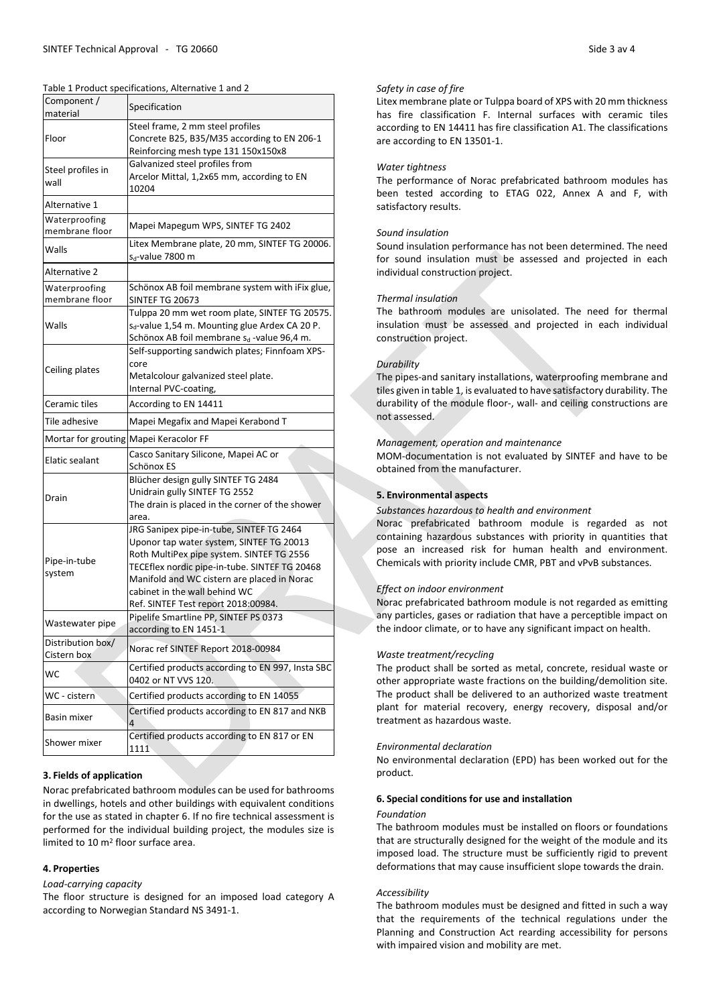| Component /<br>material          | Specification                                                                                                                                                                                                                                                                                             |
|----------------------------------|-----------------------------------------------------------------------------------------------------------------------------------------------------------------------------------------------------------------------------------------------------------------------------------------------------------|
| Floor                            | Steel frame, 2 mm steel profiles<br>Concrete B25, B35/M35 according to EN 206-1<br>Reinforcing mesh type 131 150x150x8                                                                                                                                                                                    |
| Steel profiles in<br>wall        | Galvanized steel profiles from<br>Arcelor Mittal, 1,2x65 mm, according to EN<br>10204                                                                                                                                                                                                                     |
| Alternative 1                    |                                                                                                                                                                                                                                                                                                           |
| Waterproofing<br>membrane floor  | Mapei Mapegum WPS, SINTEF TG 2402                                                                                                                                                                                                                                                                         |
| Walls                            | Litex Membrane plate, 20 mm, SINTEF TG 20006.<br>s <sub>d</sub> -value 7800 m                                                                                                                                                                                                                             |
| Alternative 2                    |                                                                                                                                                                                                                                                                                                           |
| Waterproofing<br>membrane floor  | Schönox AB foil membrane system with iFix glue,<br>SINTEF TG 20673                                                                                                                                                                                                                                        |
| Walls                            | Tulppa 20 mm wet room plate, SINTEF TG 20575.<br>s <sub>d</sub> -value 1,54 m. Mounting glue Ardex CA 20 P.<br>Schönox AB foil membrane s <sub>d</sub> -value 96,4 m.                                                                                                                                     |
| Ceiling plates                   | Self-supporting sandwich plates; Finnfoam XPS-<br>core<br>Metalcolour galvanized steel plate.<br>Internal PVC-coating,                                                                                                                                                                                    |
| Ceramic tiles                    | According to EN 14411                                                                                                                                                                                                                                                                                     |
| Tile adhesive                    | Mapei Megafix and Mapei Kerabond T                                                                                                                                                                                                                                                                        |
|                                  | Mortar for grouting Mapei Keracolor FF                                                                                                                                                                                                                                                                    |
| Elatic sealant                   | Casco Sanitary Silicone, Mapei AC or<br>Schönox ES                                                                                                                                                                                                                                                        |
| Drain                            | Blücher design gully SINTEF TG 2484<br>Unidrain gully SINTEF TG 2552<br>The drain is placed in the corner of the shower<br>area.                                                                                                                                                                          |
| Pipe-in-tube<br>system           | JRG Sanipex pipe-in-tube, SINTEF TG 2464<br>Uponor tap water system, SINTEF TG 20013<br>Roth MultiPex pipe system. SINTEF TG 2556<br>TECEflex nordic pipe-in-tube. SINTEF TG 20468<br>Manifold and WC cistern are placed in Norac<br>cabinet in the wall behind WC<br>Ref. SINTEF Test report 2018:00984. |
| Wastewater pipe                  | Pipelife Smartline PP, SINTEF PS 0373<br>according to EN 1451-1                                                                                                                                                                                                                                           |
| Distribution box/<br>Cistern box | Norac ref SINTEF Report 2018-00984                                                                                                                                                                                                                                                                        |
| WС                               | Certified products according to EN 997, Insta SBC<br>0402 or NT VVS 120.                                                                                                                                                                                                                                  |
| WC - cisterni                    | Certified products according to EN 14055                                                                                                                                                                                                                                                                  |
| Basin mixer                      | Certified products according to EN 817 and NKB<br>4                                                                                                                                                                                                                                                       |
| Shower mixer                     | Certified products according to EN 817 or EN<br>1111                                                                                                                                                                                                                                                      |

#### **3. Fields of application**

Norac prefabricated bathroom modules can be used for bathrooms in dwellings, hotels and other buildings with equivalent conditions for the use as stated in chapter 6. If no fire technical assessment is performed for the individual building project, the modules size is limited to 10 m2 floor surface area.

#### **4. Properties**

*Load-carrying capacity*

The floor structure is designed for an imposed load category A according to Norwegian Standard NS 3491-1.

#### *Safety in case of fire*

Litex membrane plate or Tulppa board of XPS with 20 mm thickness has fire classification F. Internal surfaces with ceramic tiles according to EN 14411 has fire classification A1. The classifications are according to EN 13501-1.

#### *Water tightness*

The performance of Norac prefabricated bathroom modules has been tested according to ETAG 022, Annex A and F, with satisfactory results.

#### *Sound insulation*

Sound insulation performance has not been determined. The need for sound insulation must be assessed and projected in each individual construction project.

#### *Thermal insulation*

The bathroom modules are unisolated. The need for thermal insulation must be assessed and projected in each individual construction project.

#### *Durability*

The pipes-and sanitary installations, waterproofing membrane and tiles given in table 1, is evaluated to have satisfactory durability. The durability of the module floor-, wall- and ceiling constructions are not assessed.

#### *Management, operation and maintenance*

MOM-documentation is not evaluated by SINTEF and have to be obtained from the manufacturer.

#### **5. Environmental aspects**

#### *Substances hazardous to health and environment*

Norac prefabricated bathroom module is regarded as not containing hazardous substances with priority in quantities that pose an increased risk for human health and environment. Chemicals with priority include CMR, PBT and vPvB substances.

#### *Effect on indoor environment*

Norac prefabricated bathroom module is not regarded as emitting any particles, gases or radiation that have a perceptible impact on the indoor climate, or to have any significant impact on health.

#### *Waste treatment/recycling*

The product shall be sorted as metal, concrete, residual waste or other appropriate waste fractions on the building/demolition site. The product shall be delivered to an authorized waste treatment plant for material recovery, energy recovery, disposal and/or treatment as hazardous waste.

#### *Environmental declaration*

No environmental declaration (EPD) has been worked out for the product.

#### **6. Special conditions for use and installation**

#### *Foundation*

The bathroom modules must be installed on floors or foundations that are structurally designed for the weight of the module and its imposed load. The structure must be sufficiently rigid to prevent deformations that may cause insufficient slope towards the drain.

#### *Accessibility*

The bathroom modules must be designed and fitted in such a way that the requirements of the technical regulations under the Planning and Construction Act rearding accessibility for persons with impaired vision and mobility are met.